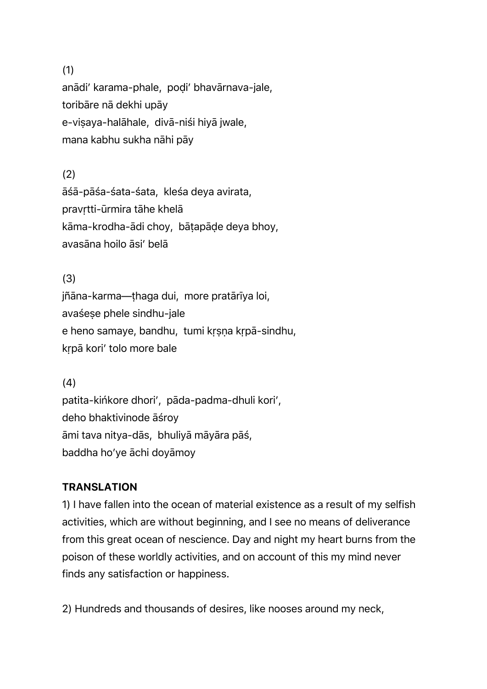#### (1)

anādi' karama-phale, poḍi' bhavārnava-jale, toribāre nā dekhi upāy e-viṣaya-halāhale, divā-niśi hiyā jwale, mana kabhu sukha nāhi pāy

## (2)

āśā-pāśa-śata-śata, kleśa deya avirata, pravṛtti-ūrmira tāhe khelā kāma-krodha-ādi choy, bāṭapāḍe deya bhoy, avasāna hoilo āsi' belā

## (3)

jñāna-karma—ṭhaga dui, more pratārīya loi, avaśeṣe phele sindhu-jale e heno samaye, bandhu, tumi kṛṣṇa kṛpā-sindhu, kṛpā kori' tolo more bale

## (4)

patita-kińkore dhori', pāda-padma-dhuli kori', deho bhaktivinode āśroy āmi tava nitya-dās, bhuliyā māyāra pāś, baddha ho'ye āchi doyāmoy

# **TRANSLATION**

1) I have fallen into the ocean of material existence as a result of my selfish activities, which are without beginning, and I see no means of deliverance from this great ocean of nescience. Day and night my heart burns from the poison of these worldly activities, and on account of this my mind never finds any satisfaction or happiness.

2) Hundreds and thousands of desires, like nooses around my neck,